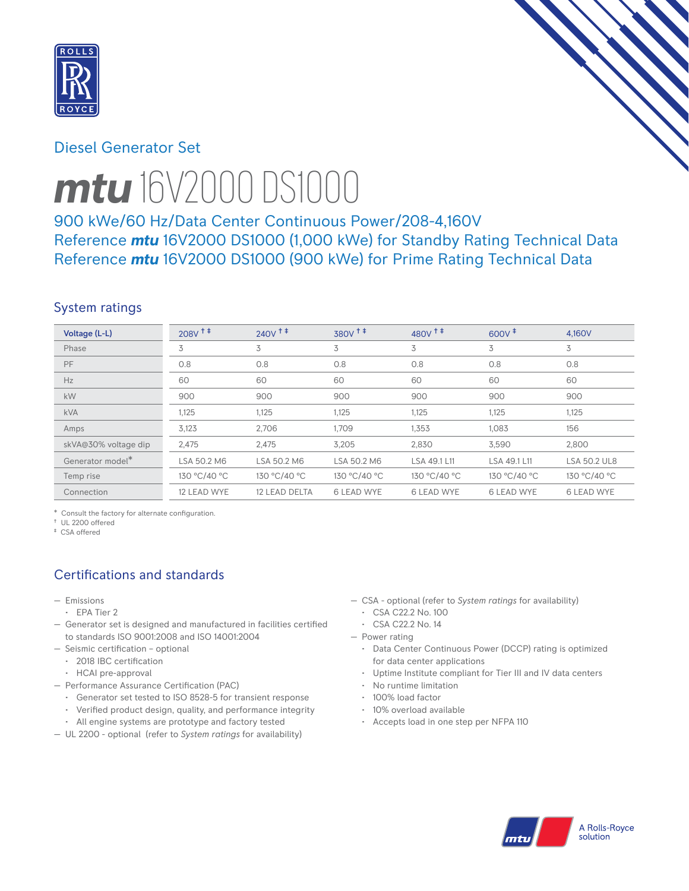

## Diesel Generator Set



# *mtu* 16V2000 DS1000

900 kWe/60 Hz/Data Center Continuous Power/208-4,160V Reference *mtu* 16V2000 DS1000 (1,000 kWe) for Standby Rating Technical Data Reference *mtu* 16V2000 DS1000 (900 kWe) for Prime Rating Technical Data

# System ratings

| Voltage (L-L)        | $208V$ <sup>++</sup> | $240V$ <sup>++</sup> | 380V <sup>+</sup> | $480V$ <sup>++</sup> | $600V^+$          | 4.160V              |
|----------------------|----------------------|----------------------|-------------------|----------------------|-------------------|---------------------|
| Phase                | 3                    | 3                    | 3                 | 3                    | 3                 | 3                   |
| PF                   | 0.8                  | 0.8                  | 0.8               | 0.8                  | 0.8               | 0.8                 |
| Hz                   | 60                   | 60                   | 60                | 60                   | 60                | 60                  |
| kW                   | 900                  | 900                  | 900               | 900                  | 900               | 900                 |
| <b>kVA</b>           | 1,125                | 1,125                | 1,125             | 1,125                | 1.125             | 1.125               |
| Amps                 | 3,123                | 2,706                | 1.709             | 1,353                | 1,083             | 156                 |
| skVA@30% voltage dip | 2,475                | 2,475                | 3,205             | 2,830                | 3,590             | 2,800               |
| Generator model*     | LSA 50.2 M6          | LSA 50.2 M6          | LSA 50.2 M6       | LSA 49.1 L11         | LSA 49.1 L11      | <b>LSA 50.2 UL8</b> |
| Temp rise            | 130 °C/40 °C         | 130 °C/40 °C         | 130 °C/40 °C      | 130 °C/40 °C         | 130 °C/40 °C      | 130 °C/40 °C        |
| Connection           | 12 LEAD WYE          | 12 LEAD DELTA        | <b>6 LEAD WYE</b> | <b>6 LEAD WYE</b>    | <b>6 LEAD WYE</b> | <b>6 LEAD WYE</b>   |

\* Consult the factory for alternate configuration.

† UL 2200 offered ‡ CSA offered

# Certifications and standards

- Emissions
- EPA Tier 2
- Generator set is designed and manufactured in facilities certified to standards ISO 9001:2008 and ISO 14001:2004
- Seismic certification optional
- 2018 IBC certification
- HCAI pre-approval
- Performance Assurance Certification (PAC)
	- Generator set tested to ISO 8528-5 for transient response
	- Verified product design, quality, and performance integrity
	- All engine systems are prototype and factory tested
- UL 2200 optional (refer to *System ratings* for availability)
- CSA optional (refer to *System ratings* for availability)
	- CSA C22.2 No. 100
	- CSA C22.2 No. 14
- Power rating
	- Data Center Continuous Power (DCCP) rating is optimized for data center applications
	- Uptime Institute compliant for Tier III and IV data centers
	- No runtime limitation
	- 100% load factor
	- 10% overload available
	- Accepts load in one step per NFPA 110

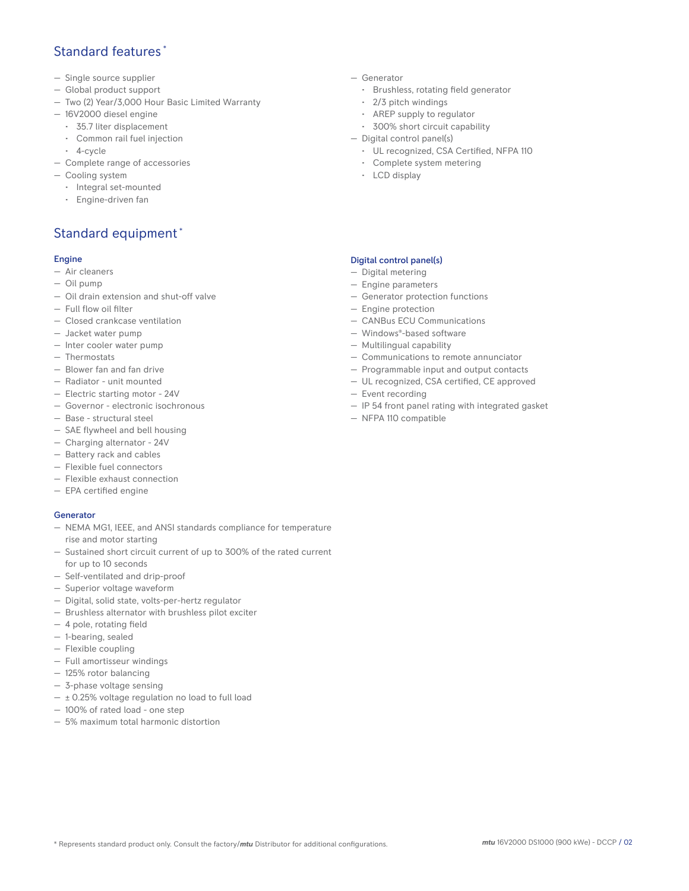## Standard features \*

- Single source supplier
- Global product support
- Two (2) Year/3,000 Hour Basic Limited Warranty
- 16V2000 diesel engine
	- 35.7 liter displacement
	- Common rail fuel injection
- 4-cycle
- Complete range of accessories
- Cooling system
	- Integral set-mounted
	- Engine-driven fan

# Standard equipment \*

#### Engine

- Air cleaners
- Oil pump
- Oil drain extension and shut-off valve
- Full flow oil filter
- Closed crankcase ventilation
- Jacket water pump
- Inter cooler water pump
- Thermostats
- Blower fan and fan drive
- Radiator unit mounted
- Electric starting motor 24V
- Governor electronic isochronous
- Base structural steel
- SAE flywheel and bell housing
- Charging alternator 24V
- Battery rack and cables
- Flexible fuel connectors
- Flexible exhaust connection
- EPA certified engine

#### **Generator**

- NEMA MG1, IEEE, and ANSI standards compliance for temperature rise and motor starting
- Sustained short circuit current of up to 300% of the rated current for up to 10 seconds
- Self-ventilated and drip-proof
- Superior voltage waveform
- Digital, solid state, volts-per-hertz regulator
- Brushless alternator with brushless pilot exciter
- 4 pole, rotating field
- 1-bearing, sealed
- Flexible coupling
- Full amortisseur windings
- 125% rotor balancing
- 3-phase voltage sensing
- $\pm$  0.25% voltage regulation no load to full load
- 100% of rated load one step
- 5% maximum total harmonic distortion
- Generator
	- Brushless, rotating field generator
	- 2/3 pitch windings
	- AREP supply to regulator
	- 300% short circuit capability
- Digital control panel(s)
	- UL recognized, CSA Certified, NFPA 110
	- Complete system metering
	- LCD display

#### Digital control panel(s)

- Digital metering
- Engine parameters
- Generator protection functions
- Engine protection
- CANBus ECU Communications
- Windows®-based software
- Multilingual capability
- Communications to remote annunciator
- Programmable input and output contacts
- UL recognized, CSA certified, CE approved
- Event recording
- IP 54 front panel rating with integrated gasket
- NFPA 110 compatible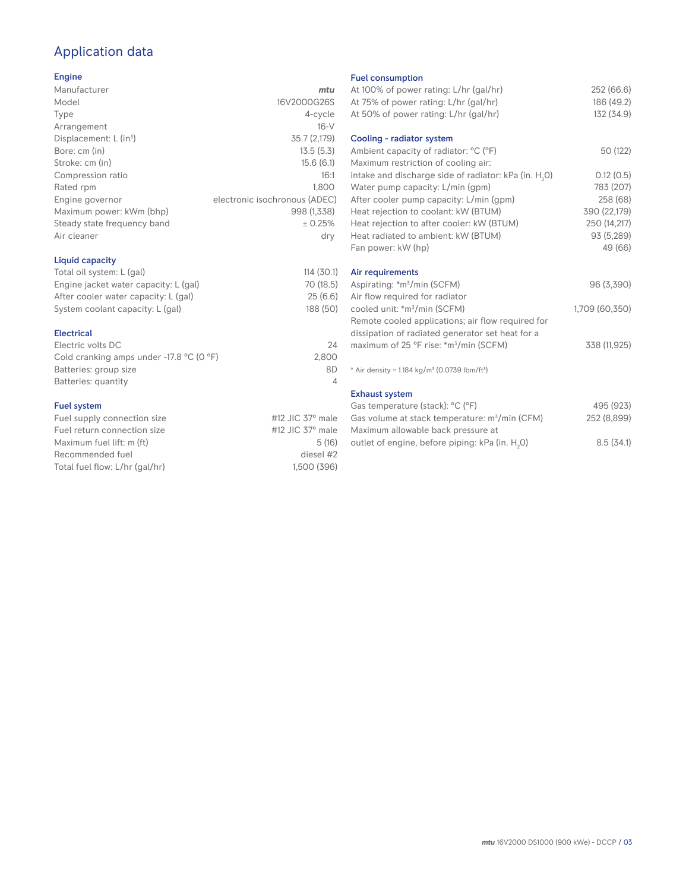# Application data

#### Engine

| Manufacturer                         | mtu                           |
|--------------------------------------|-------------------------------|
| Model                                | 16V2000G26S                   |
| Type                                 | 4-cycle                       |
| Arrangement                          | $16-V$                        |
| Displacement: $L$ (in <sup>3</sup> ) | 35.7 (2,179)                  |
| Bore: cm (in)                        | 13.5(5.3)                     |
| Stroke: cm (in)                      | 15.6(6.1)                     |
| Compression ratio                    | 16:1                          |
| Rated rpm                            | 1,800                         |
| Engine governor                      | electronic isochronous (ADEC) |
| Maximum power: kWm (bhp)             | 998 (1,338)                   |
| Steady state frequency band          | ± 0.25%                       |
| Air cleaner                          | dry                           |
|                                      |                               |
|                                      |                               |

#### Liquid capacity

| Total oil system: L (gal)             | 114(30.1) |
|---------------------------------------|-----------|
| Engine jacket water capacity: L (gal) | 70 (18.5) |
| After cooler water capacity: L (gal)  | 25(6.6)   |
| System coolant capacity: L (gal)      | 188 (50)  |
|                                       |           |

#### Electrical

| Electric volts DC                                            | 24    |
|--------------------------------------------------------------|-------|
| Cold cranking amps under -17.8 $^{\circ}$ C (O $^{\circ}$ F) | 2.800 |
| Batteries: group size                                        | 8D    |
| Batteries: quantity                                          |       |

#### Fuel system

| Fuel supply connection size    | #12 JIC $37^\circ$ male |
|--------------------------------|-------------------------|
| Fuel return connection size    | #12 JIC $37^\circ$ male |
| Maximum fuel lift: m (ft)      | 5(16)                   |
| Recommended fuel               | diesel #2               |
| Total fuel flow: L/hr (gal/hr) | 1.500 (396)             |
|                                |                         |

#### Fuel consumption

| At 100% of power rating: L/hr (gal/hr)<br>At 75% of power rating: L/hr (gal/hr)<br>At 50% of power rating: L/hr (gal/hr) | 252 (66.6)<br>186 (49.2)<br>132 (34.9) |
|--------------------------------------------------------------------------------------------------------------------------|----------------------------------------|
| Cooling - radiator system<br>Ambient capacity of radiator: °C (°F)                                                       | 50 (122)                               |
| Maximum restriction of cooling air:                                                                                      |                                        |
| intake and discharge side of radiator: kPa (in. H <sub>2</sub> O)                                                        | 0.12(0.5)                              |
| Water pump capacity: L/min (gpm)                                                                                         | 783 (207)                              |
| After cooler pump capacity: L/min (gpm)                                                                                  | 258 (68)                               |
| Heat rejection to coolant: kW (BTUM)                                                                                     | 390 (22,179)                           |
| Heat rejection to after cooler: kW (BTUM)                                                                                | 250 (14,217)                           |
| Heat radiated to ambient: kW (BTUM)                                                                                      | 93 (5,289)                             |
| Fan power: kW (hp)                                                                                                       | 49 (66)                                |
| Air requirements                                                                                                         |                                        |
| Aspirating: *m <sup>3</sup> /min (SCFM)                                                                                  | 96 (3,390)                             |
| Air flow required for radiator                                                                                           |                                        |
| cooled unit: *m <sup>3</sup> /min (SCFM)                                                                                 | 1,709 (60,350)                         |
| Remote cooled applications; air flow required for                                                                        |                                        |
| dissipation of radiated generator set heat for a                                                                         |                                        |
| maximum of 25 °F rise: *m <sup>3</sup> /min (SCFM)                                                                       | 338 (11,925)                           |
| * Air density = 1.184 kg/m <sup>3</sup> (0.0739 lbm/ft <sup>3</sup> )                                                    |                                        |
| <b>Exhaust system</b>                                                                                                    |                                        |
| Gas temperature (stack): °C (°F)                                                                                         | 495 (923)                              |
| Gas volume at stack temperature: m <sup>3</sup> /min (CFM)                                                               | 252 (8,899)                            |
| Maximum allowable back pressure at                                                                                       |                                        |
| outlet of engine, before piping: kPa (in. H <sub>2</sub> 0)                                                              | 8.5(34.1)                              |

outlet of engine, before piping: kPa (in.  ${\sf H}_{_2}$